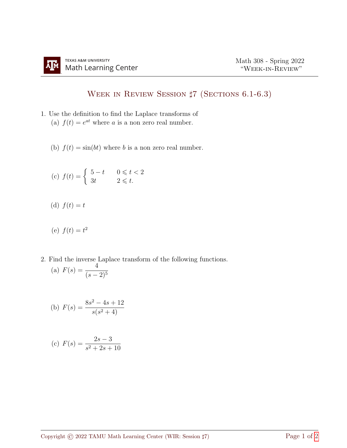## Week in Review Session ♯7 (Sections 6.1-6.3)

- 1. Use the definition to find the Laplace transforms of (a)  $f(t) = e^{at}$  where a is a non zero real number.
	- (b)  $f(t) = \sin(bt)$  where b is a non zero real number.

$$
\text{(c)}\ \ f(t) = \begin{cases} \ \ 5-t & \text{if } 0 \leqslant t < 2 \\ \ 3t & \text{if } 2 \leqslant t. \end{cases}
$$

(d)  $f(t) = t$ 

(e) 
$$
f(t) = t^2
$$

2. Find the inverse Laplace transform of the following functions. (a)  $F(s) = \frac{4}{s}$  $(s-2)^5$ 

(b) 
$$
F(s) = \frac{8s^2 - 4s + 12}{s(s^2 + 4)}
$$

(c) 
$$
F(s) = \frac{2s - 3}{s^2 + 2s + 10}
$$